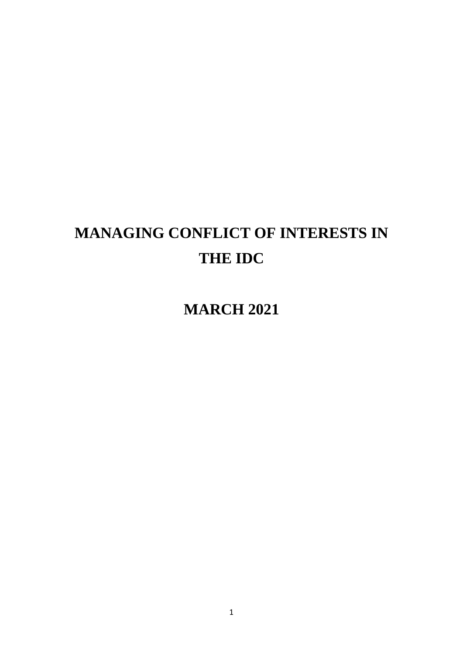# **MANAGING CONFLICT OF INTERESTS IN THE IDC**

**MARCH 2021**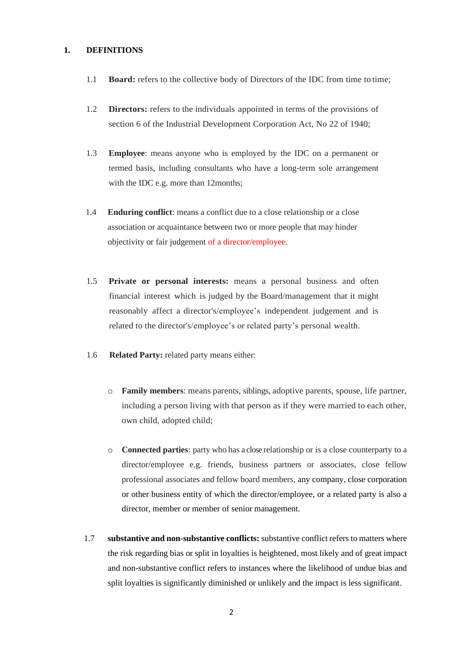#### **1. DEFINITIONS**

- 1.1 **Board:** refers to the collective body of Directors of the IDC from time to time;
- 1.2 **Directors:** refers to the individuals appointed in terms of the provisions of section 6 of the Industrial Development Corporation Act, No 22 of 1940;
- 1.3 **Employee**: means anyone who is employed by the IDC on a permanent or termed basis, including consultants who have a long-term sole arrangement with the IDC e.g. more than 12months;
- 1.4 **Enduring conflict**: means a conflict due to a close relationship or a close association or acquaintance between two or more people that may hinder objectivity or fair judgement of a director/employee.
- 1.5 **Private or personal interests:** means a personal business and often financial interest which is judged by the Board/management that it might reasonably affect a director's/employee's independent judgement and is related to the director's/employee's or related party's personal wealth.
- 1.6 **Related Party:** related party means either:
	- o **Family members**: means parents, siblings, adoptive parents, spouse, life partner, including a person living with that person as if they were married to each other, own child, adopted child;
	- o **Connected parties**: party who has a close relationship or is a close counterparty to a director/employee e.g. friends, business partners or associates, close fellow professional associates and fellow board members, any company, close corporation or other business entity of which the director/employee, or a related party is also a director, member or member of senior management.
- 1.7 **substantive and non-substantive conflicts:** substantive conflict refers to matters where the risk regarding bias or split in loyalties is heightened, most likely and of great impact and non-substantive conflict refers to instances where the likelihood of undue bias and split loyalties is significantly diminished or unlikely and the impact is less significant.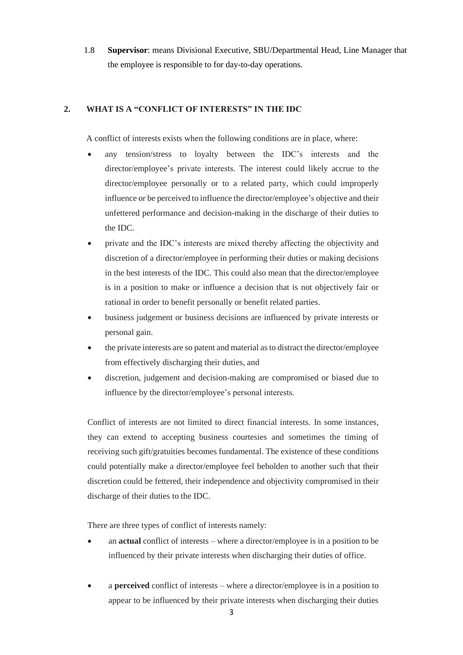1.8 **Supervisor**: means Divisional Executive, SBU/Departmental Head, Line Manager that the employee is responsible to for day-to-day operations.

# **2. WHAT IS A "CONFLICT OF INTERESTS" IN THE IDC**

A conflict of interests exists when the following conditions are in place, where:

- any tension/stress to loyalty between the IDC's interests and the director/employee's private interests. The interest could likely accrue to the director/employee personally or to a related party, which could improperly influence or be perceived to influence the director/employee's objective and their unfettered performance and decision-making in the discharge of their duties to the IDC.
- private and the IDC's interests are mixed thereby affecting the objectivity and discretion of a director/employee in performing their duties or making decisions in the best interests of the IDC. This could also mean that the director/employee is in a position to make or influence a decision that is not objectively fair or rational in order to benefit personally or benefit related parties.
- business judgement or business decisions are influenced by private interests or personal gain.
- the private interests are so patent and material as to distract the director/employee from effectively discharging their duties, and
- discretion, judgement and decision-making are compromised or biased due to influence by the director/employee's personal interests.

Conflict of interests are not limited to direct financial interests. In some instances, they can extend to accepting business courtesies and sometimes the timing of receiving such gift/gratuities becomes fundamental. The existence of these conditions could potentially make a director/employee feel beholden to another such that their discretion could be fettered, their independence and objectivity compromised in their discharge of their duties to the IDC.

There are three types of conflict of interests namely:

- an **actual** conflict of interests where a director/employee is in a position to be influenced by their private interests when discharging their duties of office.
- a **perceived** conflict of interests where a director/employee is in a position to appear to be influenced by their private interests when discharging their duties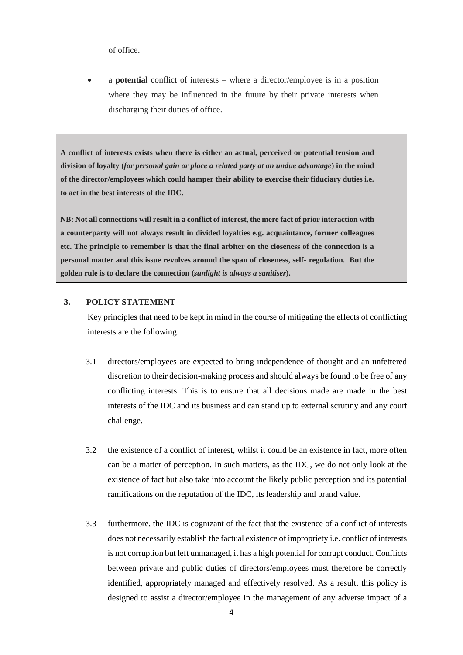of office.

• a **potential** conflict of interests – where a director/employee is in a position where they may be influenced in the future by their private interests when discharging their duties of office.

**A conflict of interests exists when there is either an actual, perceived or potential tension and division of loyalty (***for personal gain or place a related party at an undue advantage***) in the mind of the director/employees which could hamper their ability to exercise their fiduciary duties i.e. to act in the best interests of the IDC.** 

**NB: Not all connections will result in a conflict of interest, the mere fact of prior interaction with a counterparty will not always result in divided loyalties e.g. acquaintance, former colleagues etc. The principle to remember is that the final arbiter on the closeness of the connection is a personal matter and this issue revolves around the span of closeness, self- regulation. But the golden rule is to declare the connection (***sunlight is always a sanitiser***).**

## **3. POLICY STATEMENT**

Key principles that need to be kept in mind in the course of mitigating the effects of conflicting interests are the following:

- 3.1 directors/employees are expected to bring independence of thought and an unfettered discretion to their decision-making process and should always be found to be free of any conflicting interests. This is to ensure that all decisions made are made in the best interests of the IDC and its business and can stand up to external scrutiny and any court challenge.
- 3.2 the existence of a conflict of interest, whilst it could be an existence in fact, more often can be a matter of perception. In such matters, as the IDC, we do not only look at the existence of fact but also take into account the likely public perception and its potential ramifications on the reputation of the IDC, its leadership and brand value.
- 3.3 furthermore, the IDC is cognizant of the fact that the existence of a conflict of interests does not necessarily establish the factual existence of impropriety i.e. conflict of interests is not corruption but left unmanaged, it has a high potential for corrupt conduct. Conflicts between private and public duties of directors/employees must therefore be correctly identified, appropriately managed and effectively resolved. As a result, this policy is designed to assist a director/employee in the management of any adverse impact of a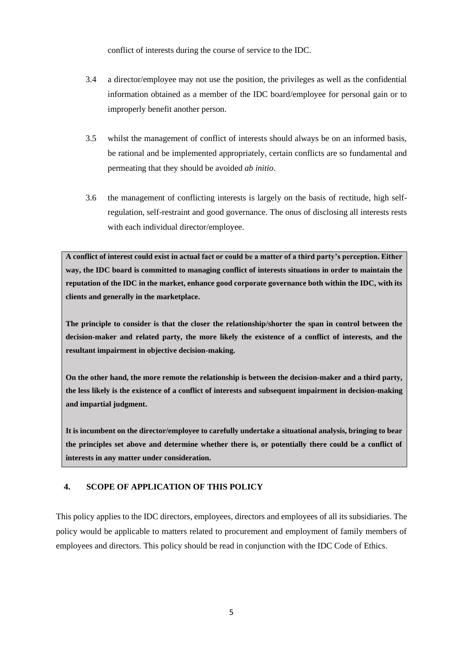conflict of interests during the course of service to the IDC.

- 3.4 a director/employee may not use the position, the privileges as well as the confidential information obtained as a member of the IDC board/employee for personal gain or to improperly benefit another person.
- 3.5 whilst the management of conflict of interests should always be on an informed basis, be rational and be implemented appropriately, certain conflicts are so fundamental and permeating that they should be avoided *ab initio*.
- 3.6 the management of conflicting interests is largely on the basis of rectitude, high selfregulation, self-restraint and good governance. The onus of disclosing all interests rests with each individual director/employee.

**A conflict of interest could exist in actual fact or could be a matter of a third party's perception. Either way, the IDC board is committed to managing conflict of interests situations in order to maintain the reputation of the IDC in the market, enhance good corporate governance both within the IDC, with its clients and generally in the marketplace.** 

**The principle to consider is that the closer the relationship/shorter the span in control between the decision-maker and related party, the more likely the existence of a conflict of interests, and the resultant impairment in objective decision-making.** 

**On the other hand, the more remote the relationship is between the decision-maker and a third party, the less likely is the existence of a conflict of interests and subsequent impairment in decision-making and impartial judgment.**

**It is incumbent on the director/employee to carefully undertake a situational analysis, bringing to bear the principles set above and determine whether there is, or potentially there could be a conflict of interests in any matter under consideration.**

# **4. SCOPE OF APPLICATION OF THIS POLICY**

This policy applies to the IDC directors, employees, directors and employees of all its subsidiaries. The policy would be applicable to matters related to procurement and employment of family members of employees and directors. This policy should be read in conjunction with the IDC Code of Ethics.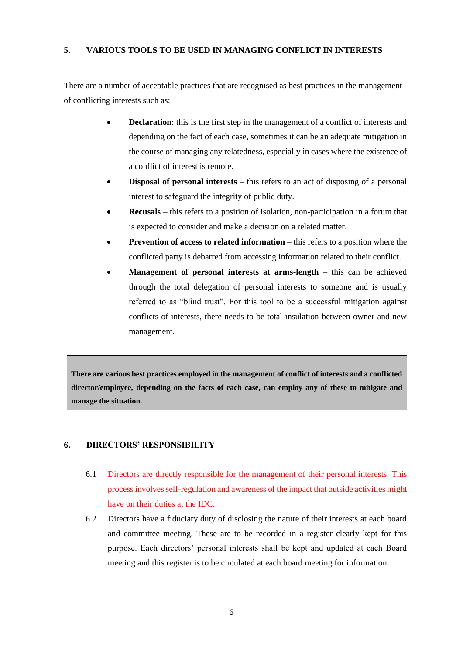# **5. VARIOUS TOOLS TO BE USED IN MANAGING CONFLICT IN INTERESTS**

There are a number of acceptable practices that are recognised as best practices in the management of conflicting interests such as:

- **Declaration**: this is the first step in the management of a conflict of interests and depending on the fact of each case, sometimes it can be an adequate mitigation in the course of managing any relatedness, especially in cases where the existence of a conflict of interest is remote.
- **Disposal of personal interests** this refers to an act of disposing of a personal interest to safeguard the integrity of public duty.
- **Recusals** this refers to a position of isolation, non-participation in a forum that is expected to consider and make a decision on a related matter.
- **Prevention of access to related information** this refers to a position where the conflicted party is debarred from accessing information related to their conflict.
- **Management of personal interests at arms-length** this can be achieved through the total delegation of personal interests to someone and is usually referred to as "blind trust". For this tool to be a successful mitigation against conflicts of interests, there needs to be total insulation between owner and new management.

**There are various best practices employed in the management of conflict of interests and a conflicted director/employee, depending on the facts of each case, can employ any of these to mitigate and manage the situation.** 

# **6. DIRECTORS' RESPONSIBILITY**

- 6.1 Directors are directly responsible for the management of their personal interests. This process involves self-regulation and awareness of the impact that outside activities might have on their duties at the IDC.
- 6.2 Directors have a fiduciary duty of disclosing the nature of their interests at each board and committee meeting. These are to be recorded in a register clearly kept for this purpose. Each directors' personal interests shall be kept and updated at each Board meeting and this register is to be circulated at each board meeting for information.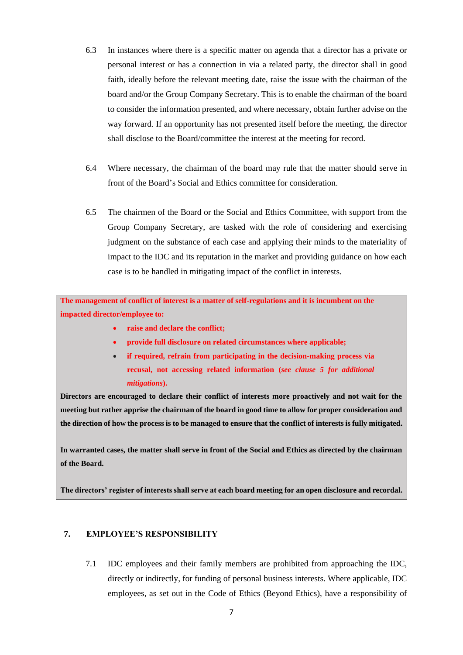- 6.3 In instances where there is a specific matter on agenda that a director has a private or personal interest or has a connection in via a related party, the director shall in good faith, ideally before the relevant meeting date, raise the issue with the chairman of the board and/or the Group Company Secretary. This is to enable the chairman of the board to consider the information presented, and where necessary, obtain further advise on the way forward. If an opportunity has not presented itself before the meeting, the director shall disclose to the Board/committee the interest at the meeting for record.
- 6.4 Where necessary, the chairman of the board may rule that the matter should serve in front of the Board's Social and Ethics committee for consideration.
- 6.5 The chairmen of the Board or the Social and Ethics Committee, with support from the Group Company Secretary, are tasked with the role of considering and exercising judgment on the substance of each case and applying their minds to the materiality of impact to the IDC and its reputation in the market and providing guidance on how each case is to be handled in mitigating impact of the conflict in interests.

**The management of conflict of interest is a matter of self-regulations and it is incumbent on the impacted director/employee to:**

- **raise and declare the conflict;**
- **provide full disclosure on related circumstances where applicable;**
- **if required, refrain from participating in the decision-making process via recusal, not accessing related information (***see clause 5 for additional mitigations***).**

**Directors are encouraged to declare their conflict of interests more proactively and not wait for the meeting but rather apprise the chairman of the board in good time to allow for proper consideration and the direction of how the process is to be managed to ensure that the conflict of interests is fully mitigated.**

**In warranted cases, the matter shall serve in front of the Social and Ethics as directed by the chairman of the Board.**

**The directors' register of interests shall serve at each board meeting for an open disclosure and recordal.**

# **7. EMPLOYEE'S RESPONSIBILITY**

7.1 IDC employees and their family members are prohibited from approaching the IDC, directly or indirectly, for funding of personal business interests. Where applicable, IDC employees, as set out in the Code of Ethics (Beyond Ethics), have a responsibility of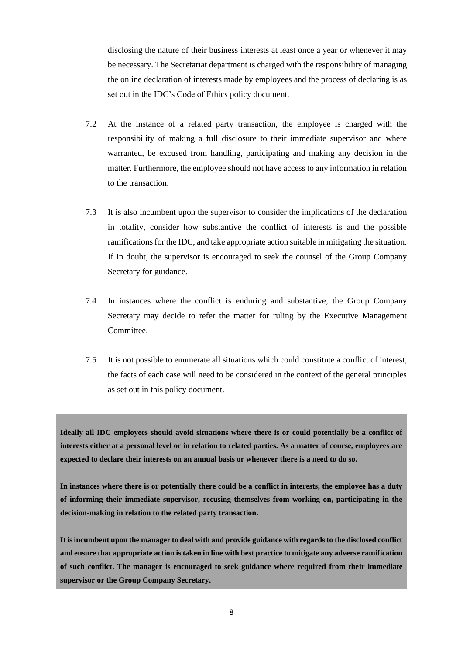disclosing the nature of their business interests at least once a year or whenever it may be necessary. The Secretariat department is charged with the responsibility of managing the online declaration of interests made by employees and the process of declaring is as set out in the IDC's Code of Ethics policy document.

- 7.2 At the instance of a related party transaction, the employee is charged with the responsibility of making a full disclosure to their immediate supervisor and where warranted, be excused from handling, participating and making any decision in the matter. Furthermore, the employee should not have access to any information in relation to the transaction.
- 7.3 It is also incumbent upon the supervisor to consider the implications of the declaration in totality, consider how substantive the conflict of interests is and the possible ramifications for the IDC, and take appropriate action suitable in mitigating the situation. If in doubt, the supervisor is encouraged to seek the counsel of the Group Company Secretary for guidance.
- 7.4 In instances where the conflict is enduring and substantive, the Group Company Secretary may decide to refer the matter for ruling by the Executive Management **Committee**
- 7.5 It is not possible to enumerate all situations which could constitute a conflict of interest, the facts of each case will need to be considered in the context of the general principles as set out in this policy document.

**Ideally all IDC employees should avoid situations where there is or could potentially be a conflict of interests either at a personal level or in relation to related parties. As a matter of course, employees are expected to declare their interests on an annual basis or whenever there is a need to do so.**

**In instances where there is or potentially there could be a conflict in interests, the employee has a duty of informing their immediate supervisor, recusing themselves from working on, participating in the decision-making in relation to the related party transaction.** 

**It is incumbent upon the manager to deal with and provide guidance with regards to the disclosed conflict and ensure that appropriate action is taken in line with best practice to mitigate any adverse ramification of such conflict. The manager is encouraged to seek guidance where required from their immediate supervisor or the Group Company Secretary.**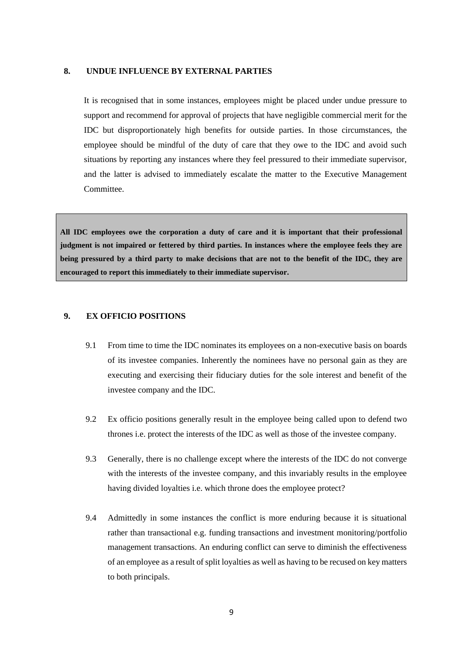#### **8. UNDUE INFLUENCE BY EXTERNAL PARTIES**

It is recognised that in some instances, employees might be placed under undue pressure to support and recommend for approval of projects that have negligible commercial merit for the IDC but disproportionately high benefits for outside parties. In those circumstances, the employee should be mindful of the duty of care that they owe to the IDC and avoid such situations by reporting any instances where they feel pressured to their immediate supervisor, and the latter is advised to immediately escalate the matter to the Executive Management Committee.

**All IDC employees owe the corporation a duty of care and it is important that their professional judgment is not impaired or fettered by third parties. In instances where the employee feels they are being pressured by a third party to make decisions that are not to the benefit of the IDC, they are encouraged to report this immediately to their immediate supervisor.** 

#### **9. EX OFFICIO POSITIONS**

- 9.1 From time to time the IDC nominates its employees on a non-executive basis on boards of its investee companies. Inherently the nominees have no personal gain as they are executing and exercising their fiduciary duties for the sole interest and benefit of the investee company and the IDC.
- 9.2 Ex officio positions generally result in the employee being called upon to defend two thrones i.e. protect the interests of the IDC as well as those of the investee company.
- 9.3 Generally, there is no challenge except where the interests of the IDC do not converge with the interests of the investee company, and this invariably results in the employee having divided loyalties i.e. which throne does the employee protect?
- 9.4 Admittedly in some instances the conflict is more enduring because it is situational rather than transactional e.g. funding transactions and investment monitoring/portfolio management transactions. An enduring conflict can serve to diminish the effectiveness of an employee as a result of split loyalties as well as having to be recused on key matters to both principals.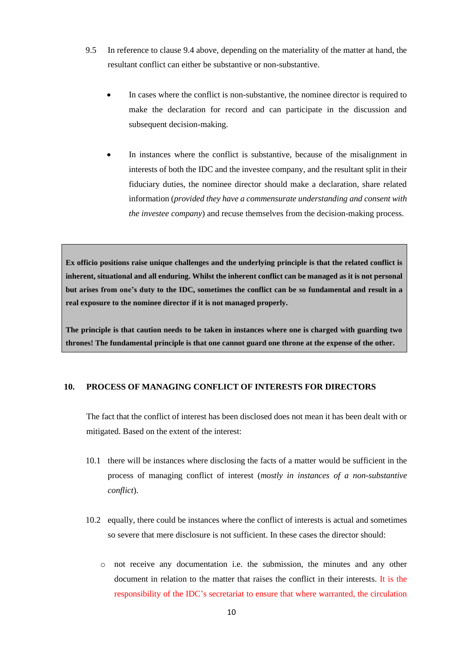- 9.5 In reference to clause 9.4 above, depending on the materiality of the matter at hand, the resultant conflict can either be substantive or non-substantive.
	- In cases where the conflict is non-substantive, the nominee director is required to make the declaration for record and can participate in the discussion and subsequent decision-making.
	- In instances where the conflict is substantive, because of the misalignment in interests of both the IDC and the investee company, and the resultant split in their fiduciary duties, the nominee director should make a declaration, share related information (*provided they have a commensurate understanding and consent with the investee company*) and recuse themselves from the decision-making process.

**Ex officio positions raise unique challenges and the underlying principle is that the related conflict is inherent, situational and all enduring. Whilst the inherent conflict can be managed as it is not personal but arises from one's duty to the IDC, sometimes the conflict can be so fundamental and result in a real exposure to the nominee director if it is not managed properly.** 

**The principle is that caution needs to be taken in instances where one is charged with guarding two thrones! The fundamental principle is that one cannot guard one throne at the expense of the other.** 

## **10. PROCESS OF MANAGING CONFLICT OF INTERESTS FOR DIRECTORS**

The fact that the conflict of interest has been disclosed does not mean it has been dealt with or mitigated. Based on the extent of the interest:

- 10.1 there will be instances where disclosing the facts of a matter would be sufficient in the process of managing conflict of interest (*mostly in instances of a non-substantive conflict*).
- 10.2 equally, there could be instances where the conflict of interests is actual and sometimes so severe that mere disclosure is not sufficient. In these cases the director should:
	- o not receive any documentation i.e. the submission, the minutes and any other document in relation to the matter that raises the conflict in their interests. It is the responsibility of the IDC's secretariat to ensure that where warranted, the circulation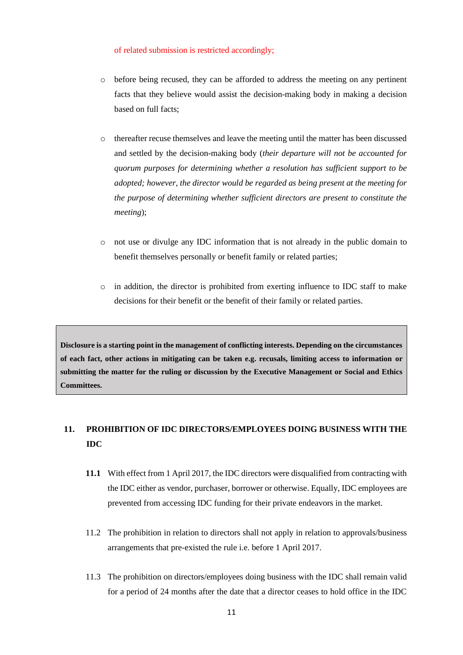#### of related submission is restricted accordingly;

- o before being recused, they can be afforded to address the meeting on any pertinent facts that they believe would assist the decision-making body in making a decision based on full facts;
- thereafter recuse themselves and leave the meeting until the matter has been discussed and settled by the decision-making body (*their departure will not be accounted for quorum purposes for determining whether a resolution has sufficient support to be adopted; however, the director would be regarded as being present at the meeting for the purpose of determining whether sufficient directors are present to constitute the meeting*);
- o not use or divulge any IDC information that is not already in the public domain to benefit themselves personally or benefit family or related parties;
- $\circ$  in addition, the director is prohibited from exerting influence to IDC staff to make decisions for their benefit or the benefit of their family or related parties.

**Disclosure is a starting point in the management of conflicting interests. Depending on the circumstances of each fact, other actions in mitigating can be taken e.g. recusals, limiting access to information or submitting the matter for the ruling or discussion by the Executive Management or Social and Ethics Committees.**

# **11. PROHIBITION OF IDC DIRECTORS/EMPLOYEES DOING BUSINESS WITH THE IDC**

- **11.1** With effect from 1 April 2017, the IDC directors were disqualified from contracting with the IDC either as vendor, purchaser, borrower or otherwise. Equally, IDC employees are prevented from accessing IDC funding for their private endeavors in the market.
- 11.2 The prohibition in relation to directors shall not apply in relation to approvals/business arrangements that pre-existed the rule i.e. before 1 April 2017.
- 11.3 The prohibition on directors/employees doing business with the IDC shall remain valid for a period of 24 months after the date that a director ceases to hold office in the IDC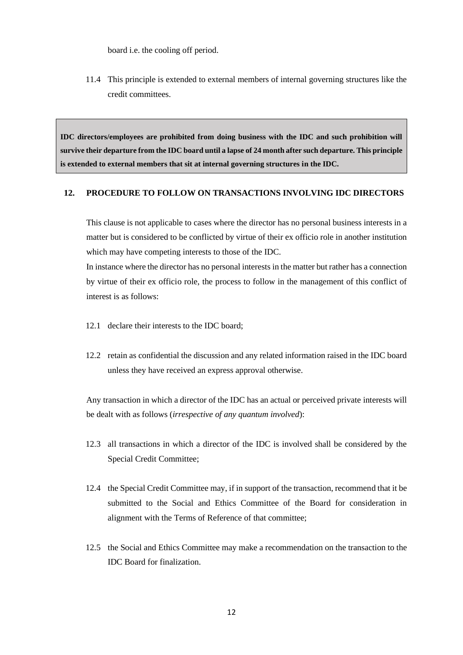board i.e. the cooling off period.

11.4 This principle is extended to external members of internal governing structures like the credit committees.

**IDC directors/employees are prohibited from doing business with the IDC and such prohibition will survive their departure from the IDC board until a lapse of 24 month after such departure. This principle is extended to external members that sit at internal governing structures in the IDC.**

# **12. PROCEDURE TO FOLLOW ON TRANSACTIONS INVOLVING IDC DIRECTORS**

This clause is not applicable to cases where the director has no personal business interests in a matter but is considered to be conflicted by virtue of their ex officio role in another institution which may have competing interests to those of the IDC.

In instance where the director has no personal interests in the matter but rather has a connection by virtue of their ex officio role, the process to follow in the management of this conflict of interest is as follows:

- 12.1 declare their interests to the IDC board;
- 12.2 retain as confidential the discussion and any related information raised in the IDC board unless they have received an express approval otherwise.

Any transaction in which a director of the IDC has an actual or perceived private interests will be dealt with as follows (*irrespective of any quantum involved*):

- 12.3 all transactions in which a director of the IDC is involved shall be considered by the Special Credit Committee;
- 12.4 the Special Credit Committee may, if in support of the transaction, recommend that it be submitted to the Social and Ethics Committee of the Board for consideration in alignment with the Terms of Reference of that committee;
- 12.5 the Social and Ethics Committee may make a recommendation on the transaction to the IDC Board for finalization.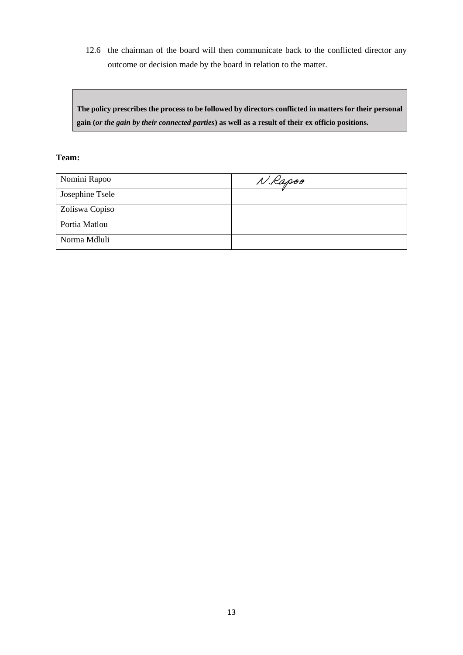12.6 the chairman of the board will then communicate back to the conflicted director any outcome or decision made by the board in relation to the matter.

**The policy prescribes the process to be followed by directors conflicted in matters for their personal gain (***or the gain by their connected parties***) as well as a result of their ex officio positions.**

# **Team:**

| Nomini Rapoo    | N.Kapoo |
|-----------------|---------|
| Josephine Tsele |         |
| Zoliswa Copiso  |         |
| Portia Matlou   |         |
| Norma Mdluli    |         |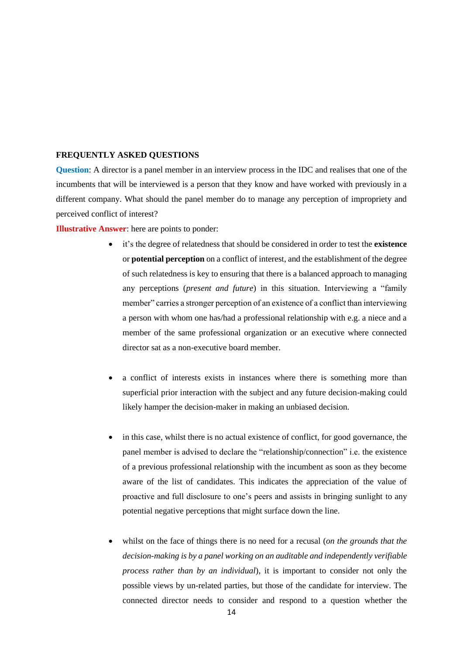#### **FREQUENTLY ASKED QUESTIONS**

**Question**: A director is a panel member in an interview process in the IDC and realises that one of the incumbents that will be interviewed is a person that they know and have worked with previously in a different company. What should the panel member do to manage any perception of impropriety and perceived conflict of interest?

**Illustrative Answer**: here are points to ponder:

- it's the degree of relatedness that should be considered in order to test the **existence** or **potential perception** on a conflict of interest, and the establishment of the degree of such relatedness is key to ensuring that there is a balanced approach to managing any perceptions (*present and future*) in this situation. Interviewing a "family member" carries a stronger perception of an existence of a conflict than interviewing a person with whom one has/had a professional relationship with e.g. a niece and a member of the same professional organization or an executive where connected director sat as a non-executive board member.
- a conflict of interests exists in instances where there is something more than superficial prior interaction with the subject and any future decision-making could likely hamper the decision-maker in making an unbiased decision.
- in this case, whilst there is no actual existence of conflict, for good governance, the panel member is advised to declare the "relationship/connection" i.e. the existence of a previous professional relationship with the incumbent as soon as they become aware of the list of candidates. This indicates the appreciation of the value of proactive and full disclosure to one's peers and assists in bringing sunlight to any potential negative perceptions that might surface down the line.
- whilst on the face of things there is no need for a recusal (*on the grounds that the decision-making is by a panel working on an auditable and independently verifiable process rather than by an individual*), it is important to consider not only the possible views by un-related parties, but those of the candidate for interview. The connected director needs to consider and respond to a question whether the